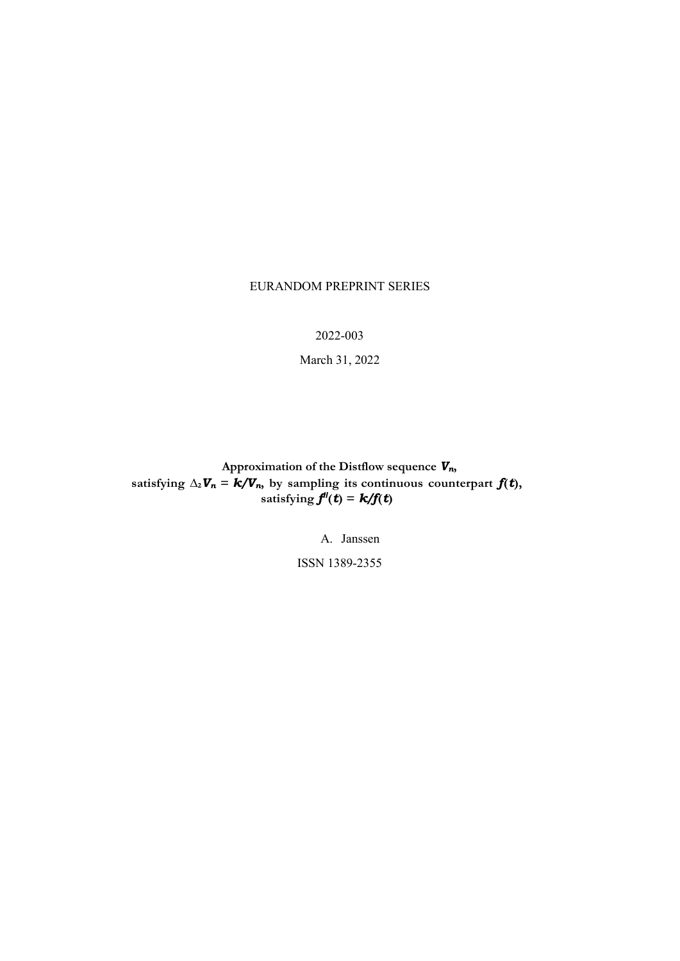#### EURANDOM PREPRINT SERIES

2022-003

March 31, 2022

**Approximation of the Distflow sequence** *Vn***, satisfying**  $\Delta_2 V_n = k/V_n$ , by sampling its continuous counterpart  $f(t)$ , **satisfying**  $f''(t) = k/f(t)$ 

A. Janssen

ISSN 1389-2355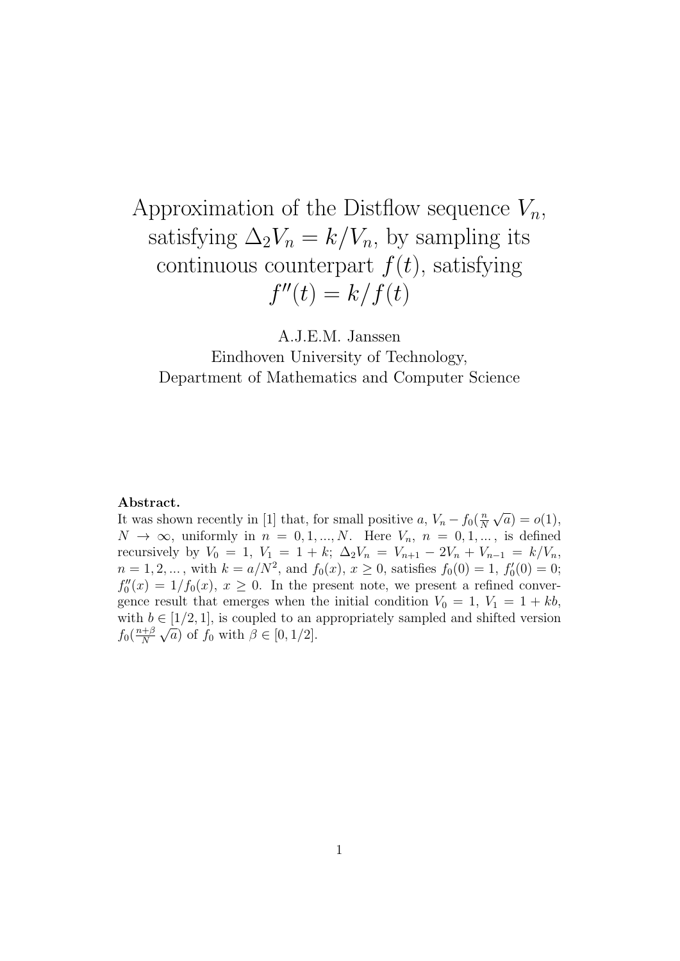# Approximation of the Distflow sequence  $V_n$ , satisfying  $\Delta_2 V_n = k/V_n$ , by sampling its continuous counterpart  $f(t)$ , satisfying  $f''(t) = k/f(t)$

A.J.E.M. Janssen

Eindhoven University of Technology, Department of Mathematics and Computer Science

#### Abstract.

It was shown recently in [1] that, for small positive a,  $V_n - f_0(\frac{n}{N})$ N √  $\overline{a}) = o(1),$  $N \to \infty$ , uniformly in  $n = 0, 1, ..., N$ . Here  $V_n$ ,  $n = 0, 1, ...,$  is defined recursively by  $V_0 = 1$ ,  $V_1 = 1 + k$ ;  $\Delta_2 V_n = V_{n+1} - 2V_n + V_{n-1} = k/V_n$ ,  $n = 1, 2, ...$ , with  $k = a/N^2$ , and  $f_0(x)$ ,  $x \ge 0$ , satisfies  $f_0(0) = 1$ ,  $f'_0(0) = 0$ ;  $f''_0(x) = 1/f_0(x), x \ge 0$ . In the present note, we present a refined convergence result that emerges when the initial condition  $V_0 = 1, V_1 = 1 + kb$ , with  $b \in [1/2, 1]$ , is coupled to an appropriately sampled and shifted version  $f_0(\frac{n+\beta}{N})$ N √  $\overline{a}$ ) of  $f_0$  with  $\beta \in [0, 1/2]$ .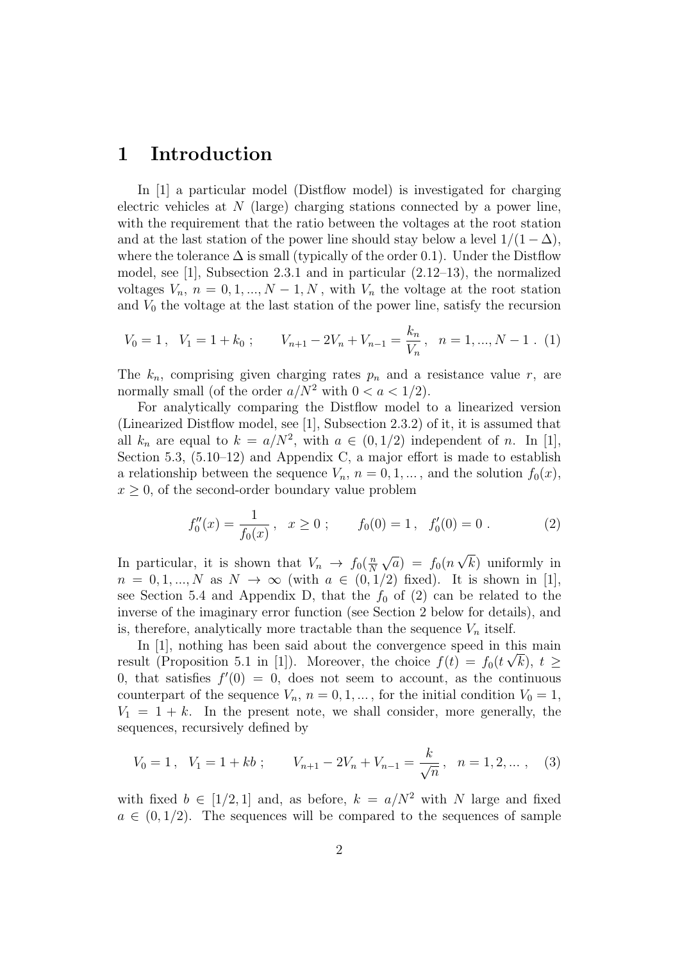#### 1 Introduction

In [1] a particular model (Distflow model) is investigated for charging electric vehicles at  $N$  (large) charging stations connected by a power line, with the requirement that the ratio between the voltages at the root station and at the last station of the power line should stay below a level  $1/(1 - \Delta)$ , where the tolerance  $\Delta$  is small (typically of the order 0.1). Under the Distflow model, see [1], Subsection 2.3.1 and in particular (2.12–13), the normalized voltages  $V_n$ ,  $n = 0, 1, ..., N - 1, N$ , with  $V_n$  the voltage at the root station and  $V_0$  the voltage at the last station of the power line, satisfy the recursion

$$
V_0 = 1, \quad V_1 = 1 + k_0 \; ; \qquad V_{n+1} - 2V_n + V_{n-1} = \frac{k_n}{V_n}, \quad n = 1, ..., N - 1 \; . \tag{1}
$$

The  $k_n$ , comprising given charging rates  $p_n$  and a resistance value r, are normally small (of the order  $a/N^2$  with  $0 < a < 1/2$ ).

For analytically comparing the Distflow model to a linearized version (Linearized Distflow model, see [1], Subsection 2.3.2) of it, it is assumed that all  $k_n$  are equal to  $k = a/N^2$ , with  $a \in (0, 1/2)$  independent of n. In [1], Section 5.3,  $(5.10-12)$  and Appendix C, a major effort is made to establish a relationship between the sequence  $V_n$ ,  $n = 0, 1, \dots$ , and the solution  $f_0(x)$ ,  $x \geq 0$ , of the second-order boundary value problem

$$
f_0''(x) = \frac{1}{f_0(x)}, \quad x \ge 0 \; ; \qquad f_0(0) = 1 \; , \quad f_0'(0) = 0 \; . \tag{2}
$$

In particular, it is shown that  $V_n \to f_0(\frac{n}{N})$ N √  $\overline{a}$ ) =  $f_0(n)$ √ k) uniformly in  $n = 0, 1, ..., N$  as  $N \rightarrow \infty$  (with  $a \in (0, 1/2)$  fixed). It is shown in [1], see Section 5.4 and Appendix D, that the  $f_0$  of (2) can be related to the inverse of the imaginary error function (see Section 2 below for details), and is, therefore, analytically more tractable than the sequence  $V_n$  itself.

In [1], nothing has been said about the convergence speed in this main result (Proposition 5.1 in [1]). Moreover, the choice  $f(t) = f_0(t\sqrt{k})$ ,  $t \geq$ 0, that satisfies  $f'(0) = 0$ , does not seem to account, as the continuous counterpart of the sequence  $V_n$ ,  $n = 0, 1, \dots$ , for the initial condition  $V_0 = 1$ ,  $V_1 = 1 + k$ . In the present note, we shall consider, more generally, the sequences, recursively defined by

$$
V_0 = 1, \quad V_1 = 1 + kb \; ; \qquad V_{n+1} - 2V_n + V_{n-1} = \frac{k}{\sqrt{n}}, \quad n = 1, 2, \dots, \quad (3)
$$

with fixed  $b \in [1/2, 1]$  and, as before,  $k = a/N^2$  with N large and fixed  $a \in (0, 1/2)$ . The sequences will be compared to the sequences of sample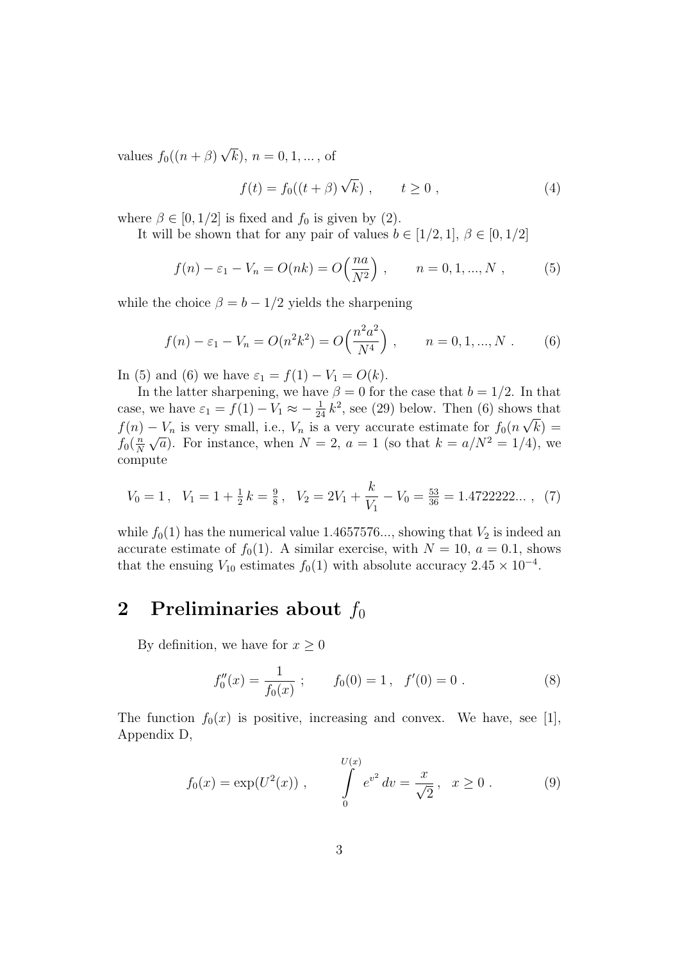values  $f_0((n+\beta))$ √  $(k), n = 0, 1, ...,$  of

$$
f(t) = f_0((t + \beta)\sqrt{k}), \qquad t \ge 0,
$$
\n(4)

where  $\beta \in [0, 1/2]$  is fixed and  $f_0$  is given by (2).

It will be shown that for any pair of values  $b \in [1/2, 1], \beta \in [0, 1/2]$ 

$$
f(n) - \varepsilon_1 - V_n = O(nk) = O\left(\frac{na}{N^2}\right), \qquad n = 0, 1, ..., N \,,
$$
 (5)

while the choice  $\beta = b - 1/2$  yields the sharpening

$$
f(n) - \varepsilon_1 - V_n = O(n^2 k^2) = O\left(\frac{n^2 a^2}{N^4}\right), \qquad n = 0, 1, ..., N. \tag{6}
$$

In (5) and (6) we have  $\varepsilon_1 = f(1) - V_1 = O(k)$ .

In the latter sharpening, we have  $\beta = 0$  for the case that  $b = 1/2$ . In that case, we have  $\varepsilon_1 = f(1) - V_1 \approx -\frac{1}{24} k^2$ , see (29) below. Then (6) shows that  $f(n) - V_n$  is very small, i.e.,  $V_n$  is a very accurate estimate for  $f_0(n\sqrt{k}) =$  $f_0(\frac{n}{N})$  $\frac{n}{N}\sqrt{a}$ ). For instance, when  $N=2$ ,  $a=1$  (so that  $k=a/N^2=1/4$ ), we compute

$$
V_0 = 1, \quad V_1 = 1 + \frac{1}{2}k = \frac{9}{8}, \quad V_2 = 2V_1 + \frac{k}{V_1} - V_0 = \frac{53}{36} = 1.4722222...
$$
 (7)

while  $f_0(1)$  has the numerical value 1.4657576..., showing that  $V_2$  is indeed an accurate estimate of  $f_0(1)$ . A similar exercise, with  $N = 10$ ,  $a = 0.1$ , shows that the ensuing  $V_{10}$  estimates  $f_0(1)$  with absolute accuracy  $2.45 \times 10^{-4}$ .

### 2 Preliminaries about  $f_0$

By definition, we have for  $x \geq 0$ 

$$
f_0''(x) = \frac{1}{f_0(x)}; \qquad f_0(0) = 1, \quad f'(0) = 0.
$$
 (8)

The function  $f_0(x)$  is positive, increasing and convex. We have, see [1], Appendix D,

$$
f_0(x) = \exp(U^2(x)), \qquad \int_{0}^{U(x)} e^{v^2} dv = \frac{x}{\sqrt{2}}, \quad x \ge 0.
$$
 (9)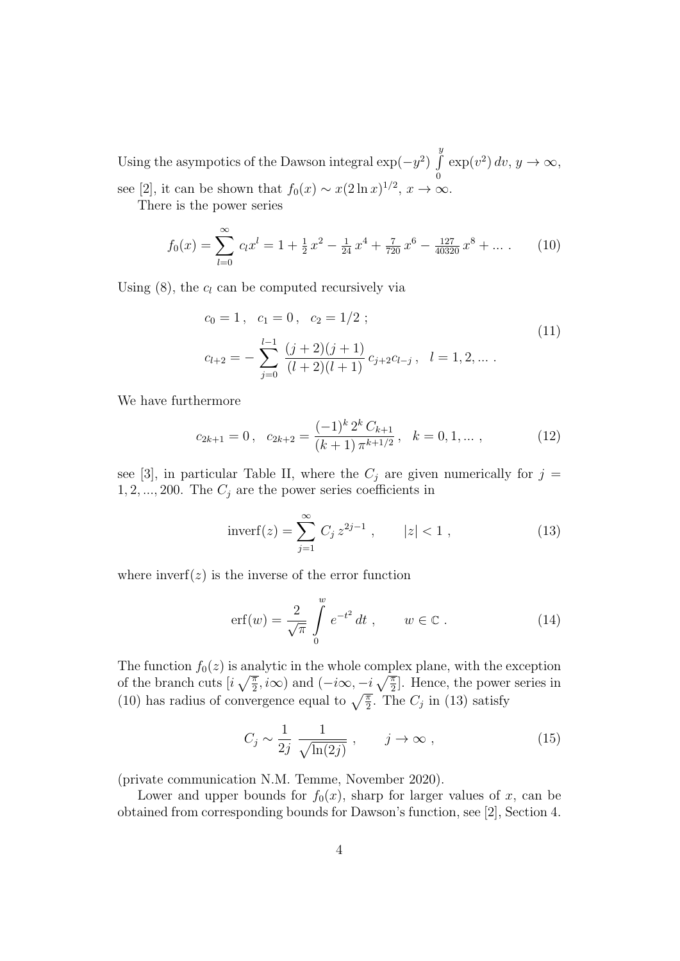Using the asympotics of the Dawson integral  $\exp(-y^2)$  $\overline{y}$ R  $\mathbf{0}$  $\exp(v^2) dv, y \to \infty,$ see [2], it can be shown that  $f_0(x) \sim x(2 \ln x)^{1/2}, x \to \infty$ .

There is the power series

$$
f_0(x) = \sum_{l=0}^{\infty} c_l x^l = 1 + \frac{1}{2} x^2 - \frac{1}{24} x^4 + \frac{7}{720} x^6 - \frac{127}{40320} x^8 + \dots
$$
 (10)

Using  $(8)$ , the  $c_l$  can be computed recursively via

$$
c_0 = 1, \quad c_1 = 0, \quad c_2 = 1/2 ;
$$
  
\n
$$
c_{l+2} = -\sum_{j=0}^{l-1} \frac{(j+2)(j+1)}{(l+2)(l+1)} c_{j+2} c_{l-j}, \quad l = 1, 2, ...
$$
\n(11)

We have furthermore

$$
c_{2k+1} = 0, \quad c_{2k+2} = \frac{(-1)^k 2^k C_{k+1}}{(k+1) \pi^{k+1/2}}, \quad k = 0, 1, \dots,
$$
 (12)

see [3], in particular Table II, where the  $C_j$  are given numerically for  $j =$ 1, 2, ..., 200. The  $C_j$  are the power series coefficients in

$$
invert(z) = \sum_{j=1}^{\infty} C_j z^{2j-1}, \qquad |z| < 1,
$$
\n(13)

where inverf $(z)$  is the inverse of the error function

$$
\text{erf}(w) = \frac{2}{\sqrt{\pi}} \int_{0}^{w} e^{-t^{2}} dt , \qquad w \in \mathbb{C} . \tag{14}
$$

The function  $f_0(z)$  is analytic in the whole complex plane, with the exception of the branch cuts  $[i\sqrt{\frac{\pi}{2}}, i\infty)$  and  $(-i\infty, -i\sqrt{\frac{\pi}{2}}]$ . Hence, the power series in (10) has radius of convergence equal to  $\sqrt{\frac{\pi}{2}}$ . The  $C_j$  in (13) satisfy

$$
C_j \sim \frac{1}{2j} \frac{1}{\sqrt{\ln(2j)}}, \qquad j \to \infty ,
$$
 (15)

(private communication N.M. Temme, November 2020).

Lower and upper bounds for  $f_0(x)$ , sharp for larger values of x, can be obtained from corresponding bounds for Dawson's function, see [2], Section 4.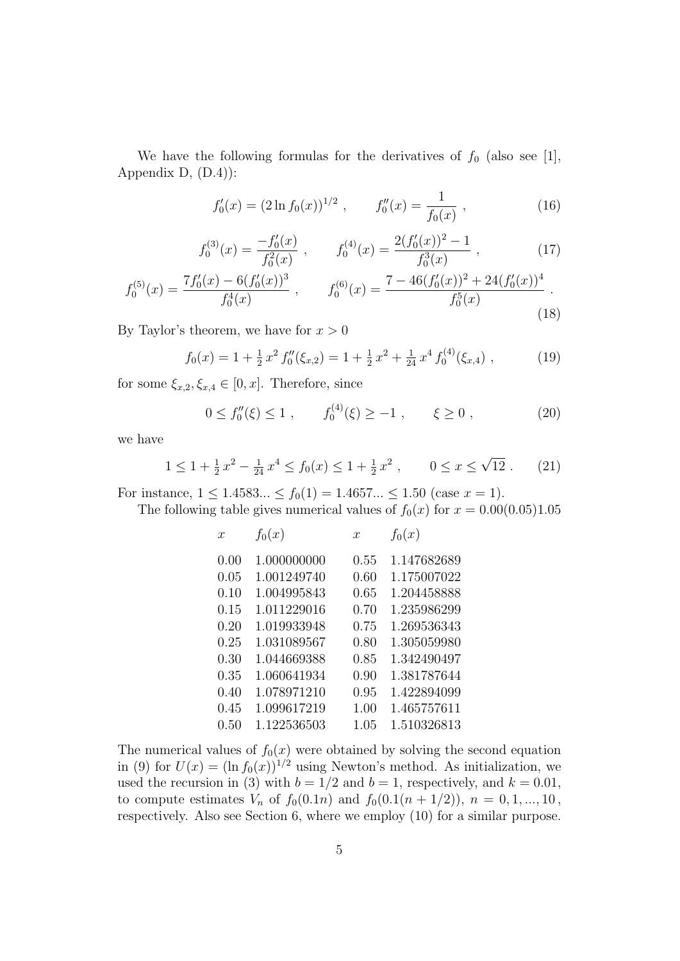We have the following formulas for the derivatives of  $f_0$  (also see [1], Appendix D,  $(D.4)$ :

$$
f_0'(x) = (2\ln f_0(x))^{1/2}, \qquad f_0''(x) = \frac{1}{f_0(x)}, \qquad (16)
$$

$$
f_0^{(3)}(x) = \frac{-f_0'(x)}{f_0^2(x)} , \qquad f_0^{(4)}(x) = \frac{2(f_0'(x))^2 - 1}{f_0^3(x)} , \qquad (17)
$$

$$
f_0^{(5)}(x) = \frac{7f_0'(x) - 6(f_0'(x))^3}{f_0^4(x)}, \qquad f_0^{(6)}(x) = \frac{7 - 46(f_0'(x))^2 + 24(f_0'(x))^4}{f_0^5(x)}.
$$
\n(18)

By Taylor's theorem, we have for  $x > 0$ 

$$
f_0(x) = 1 + \frac{1}{2}x^2 f_0''(\xi_{x,2}) = 1 + \frac{1}{2}x^2 + \frac{1}{24}x^4 f_0^{(4)}(\xi_{x,4}), \qquad (19)
$$

for some  $\xi_{x,2}, \xi_{x,4} \in [0, x]$ . Therefore, since

$$
0 \le f_0''(\xi) \le 1 , \qquad f_0^{(4)}(\xi) \ge -1 , \qquad \xi \ge 0 , \tag{20}
$$

we have

$$
1 \le 1 + \frac{1}{2}x^2 - \frac{1}{24}x^4 \le f_0(x) \le 1 + \frac{1}{2}x^2 , \qquad 0 \le x \le \sqrt{12} . \tag{21}
$$

For instance,  $1 \le 1.4583... \le f_0(1) = 1.4657... \le 1.50$  (case  $x = 1$ ).

The following table gives numerical values of 
$$
f_0(x)
$$
 for  $x = 0.00(0.05)1.05$ 

| $\boldsymbol{x}$ | $f_0(x)$    | $\boldsymbol{x}$ | $f_0(x)$    |
|------------------|-------------|------------------|-------------|
| 0.00             | 1.000000000 | 0.55             | 1.147682689 |
| 0.05             | 1.001249740 | 0.60             | 1.175007022 |
| 0.10             | 1.004995843 | 0.65             | 1.204458888 |
| 0.15             | 1.011229016 | 0.70             | 1.235986299 |
| 0.20             | 1.019933948 | 0.75             | 1.269536343 |
| 0.25             | 1.031089567 | 0.80             | 1.305059980 |
| 0.30             | 1.044669388 | 0.85             | 1.342490497 |
| 0.35             | 1.060641934 | 0.90             | 1.381787644 |
| 0.40             | 1.078971210 | 0.95             | 1.422894099 |
| 0.45             | 1.099617219 | 1.00             | 1.465757611 |
| 0.50             | 1.122536503 | 1.05             | 1.510326813 |

The numerical values of  $f_0(x)$  were obtained by solving the second equation in (9) for  $U(x) = (\ln f_0(x))^{1/2}$  using Newton's method. As initialization, we used the recursion in (3) with  $b = 1/2$  and  $b = 1$ , respectively, and  $k = 0.01$ , to compute estimates  $V_n$  of  $f_0(0.1n)$  and  $f_0(0.1(n + 1/2)), n = 0, 1, ..., 10$ , respectively. Also see Section 6, where we employ (10) for a similar purpose.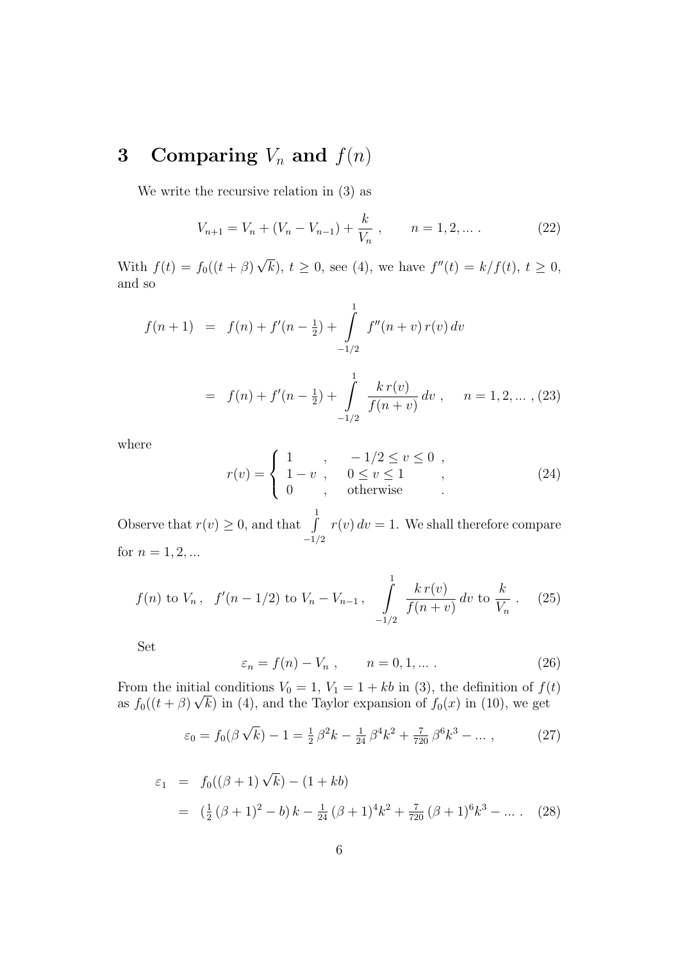## 3 Comparing  $V_n$  and  $f(n)$

We write the recursive relation in (3) as

$$
V_{n+1} = V_n + (V_n - V_{n-1}) + \frac{k}{V_n} , \qquad n = 1, 2, \dots
$$
 (22)

With  $f(t) = f_0((t + \beta))$ √  $\overline{k}$ ,  $t \geq 0$ , see (4), we have  $f''(t) = k/f(t)$ ,  $t \geq 0$ , and so

$$
f(n+1) = f(n) + f'(n - \frac{1}{2}) + \int_{-1/2}^{1} f''(n+v) r(v) dv
$$

$$
= f(n) + f'(n - \frac{1}{2}) + \int_{-1/2}^{1} \frac{k r(v)}{f(n+v)} dv , \quad n = 1, 2, \dots, (23)
$$

where

$$
r(v) = \begin{cases} 1, & -1/2 \le v \le 0, \\ 1 - v, & 0 \le v \le 1 \\ 0, & \text{otherwise} \end{cases}
$$
 (24)

Observe that  $r(v) \geq 0$ , and that  $\int_0^1$  $-1/2$  $r(v) dv = 1$ . We shall therefore compare for  $n = 1, 2, ...$ 

$$
f(n)
$$
 to  $V_n$ ,  $f'(n-1/2)$  to  $V_n - V_{n-1}$ ,  $\int_{-1/2}^{1} \frac{k r(v)}{f(n+v)} dv$  to  $\frac{k}{V_n}$ . (25)

Set

$$
\varepsilon_n = f(n) - V_n \;, \qquad n = 0, 1, \dots \,. \tag{26}
$$

From the initial conditions  $V_0 = 1, V_1 = 1 + kb$  in (3), the definition of  $f(t)$ as  $f_0((t + \beta)\sqrt{k})$  in (4), and the Taylor expansion of  $f_0(x)$  in (10), we get

$$
\varepsilon_0 = f_0(\beta\sqrt{k}) - 1 = \frac{1}{2}\beta^2 k - \frac{1}{24}\beta^4 k^2 + \frac{7}{720}\beta^6 k^3 - \dots \,, \tag{27}
$$

$$
\varepsilon_1 = f_0((\beta + 1)\sqrt{k}) - (1 + kb)
$$
  
=  $(\frac{1}{2}(\beta + 1)^2 - b)k - \frac{1}{24}(\beta + 1)^4k^2 + \frac{7}{720}(\beta + 1)^6k^3 - \dots$  (28)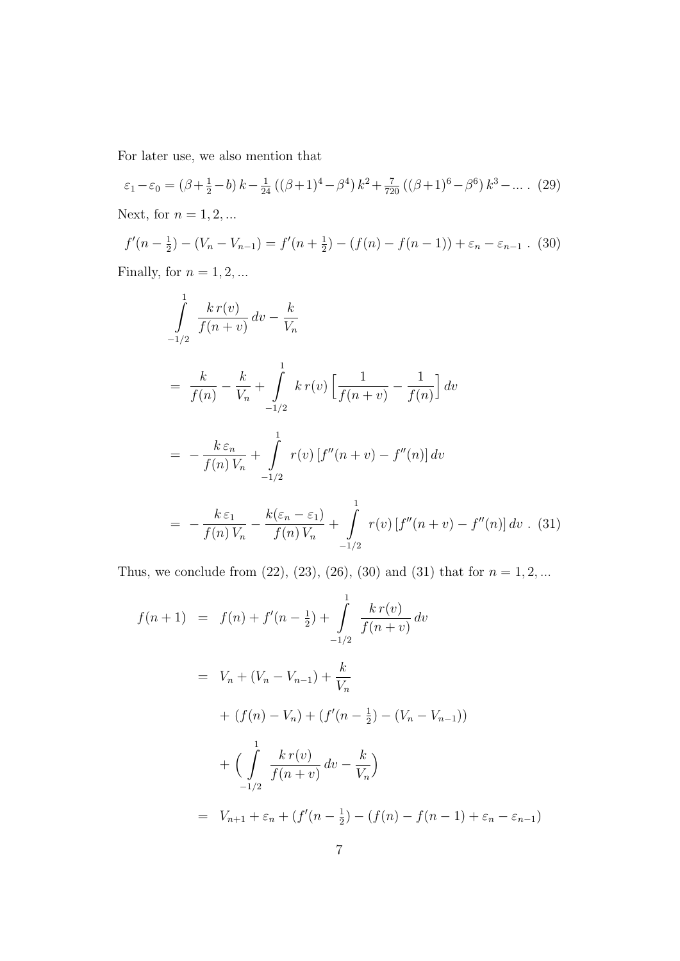For later use, we also mention that

$$
\varepsilon_1 - \varepsilon_0 = (\beta + \frac{1}{2} - b) k - \frac{1}{24} ((\beta + 1)^4 - \beta^4) k^2 + \frac{7}{720} ((\beta + 1)^6 - \beta^6) k^3 - \dots
$$
 (29)  
Next, for  $n = 1, 2, ...$ 

$$
f'(n - \frac{1}{2}) - (V_n - V_{n-1}) = f'(n + \frac{1}{2}) - (f(n) - f(n-1)) + \varepsilon_n - \varepsilon_{n-1} \tag{30}
$$

Finally, for  $n = 1, 2, ...$ 

$$
\int_{-1/2}^{1} \frac{kr(v)}{f(n+v)} dv - \frac{k}{V_n}
$$
\n
$$
= \frac{k}{f(n)} - \frac{k}{V_n} + \int_{-1/2}^{1} kr(v) \left[ \frac{1}{f(n+v)} - \frac{1}{f(n)} \right] dv
$$
\n
$$
= -\frac{k \varepsilon_n}{f(n) V_n} + \int_{-1/2}^{1} r(v) \left[ f''(n+v) - f''(n) \right] dv
$$
\n
$$
= -\frac{k \varepsilon_1}{f(n) V_n} - \frac{k(\varepsilon_n - \varepsilon_1)}{f(n) V_n} + \int_{-1/2}^{1} r(v) \left[ f''(n+v) - f''(n) \right] dv . (31)
$$

Thus, we conclude from (22), (23), (26), (30) and (31) that for  $n = 1, 2, ...$ 

$$
f(n+1) = f(n) + f'(n - \frac{1}{2}) + \int_{-1/2}^{1} \frac{k r(v)}{f(n+v)} dv
$$
  

$$
= V_n + (V_n - V_{n-1}) + \frac{k}{V_n}
$$
  

$$
+ (f(n) - V_n) + (f'(n - \frac{1}{2}) - (V_n - V_{n-1}))
$$
  

$$
+ \left( \int_{-1/2}^{1} \frac{k r(v)}{f(n+v)} dv - \frac{k}{V_n} \right)
$$
  

$$
= V_{n+1} + \varepsilon_n + (f'(n - \frac{1}{2}) - (f(n) - f(n - 1) + \varepsilon_n - \varepsilon_{n-1})
$$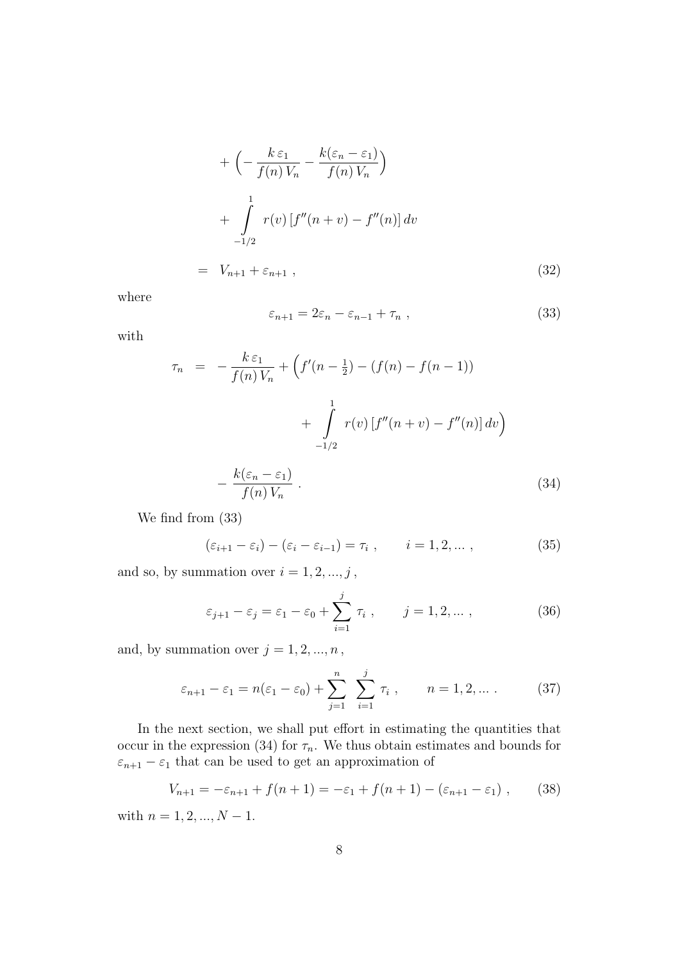$$
+\left(-\frac{k \varepsilon_1}{f(n)V_n} - \frac{k(\varepsilon_n - \varepsilon_1)}{f(n)V_n}\right)
$$
  
+ 
$$
\int_{-1/2}^{1} r(v) \left[f''(n+v) - f''(n)\right] dv
$$
  
= 
$$
V_{n+1} + \varepsilon_{n+1} , \qquad (32)
$$

where

$$
\varepsilon_{n+1} = 2\varepsilon_n - \varepsilon_{n-1} + \tau_n \t{33}
$$

with

$$
\tau_n = -\frac{k \varepsilon_1}{f(n)V_n} + \left( f'(n - \frac{1}{2}) - (f(n) - f(n - 1)) \right)
$$

$$
+ \int_{-1/2}^1 r(v) \left[ f''(n + v) - f''(n) \right] dv
$$

$$
- \frac{k(\varepsilon_n - \varepsilon_1)}{f(n)V_n} . \tag{34}
$$

$$
f(n) \, v_n
$$
\nWe find from (33)

$$
(\varepsilon_{i+1} - \varepsilon_i) - (\varepsilon_i - \varepsilon_{i-1}) = \tau_i , \qquad i = 1, 2, \dots ,
$$
 (35)

and so, by summation over  $i = 1, 2, ..., j$ ,

$$
\varepsilon_{j+1} - \varepsilon_j = \varepsilon_1 - \varepsilon_0 + \sum_{i=1}^j \tau_i , \qquad j = 1, 2, \dots , \qquad (36)
$$

and, by summation over  $j = 1, 2, ..., n$ ,

$$
\varepsilon_{n+1} - \varepsilon_1 = n(\varepsilon_1 - \varepsilon_0) + \sum_{j=1}^n \sum_{i=1}^j \tau_i , \qquad n = 1, 2, ...
$$
 (37)

In the next section, we shall put effort in estimating the quantities that occur in the expression (34) for  $\tau_n$ . We thus obtain estimates and bounds for  $\varepsilon_{n+1} - \varepsilon_1$  that can be used to get an approximation of

$$
V_{n+1} = -\varepsilon_{n+1} + f(n+1) = -\varepsilon_1 + f(n+1) - (\varepsilon_{n+1} - \varepsilon_1) ,\qquad(38)
$$

with  $n = 1, 2, ..., N - 1$ .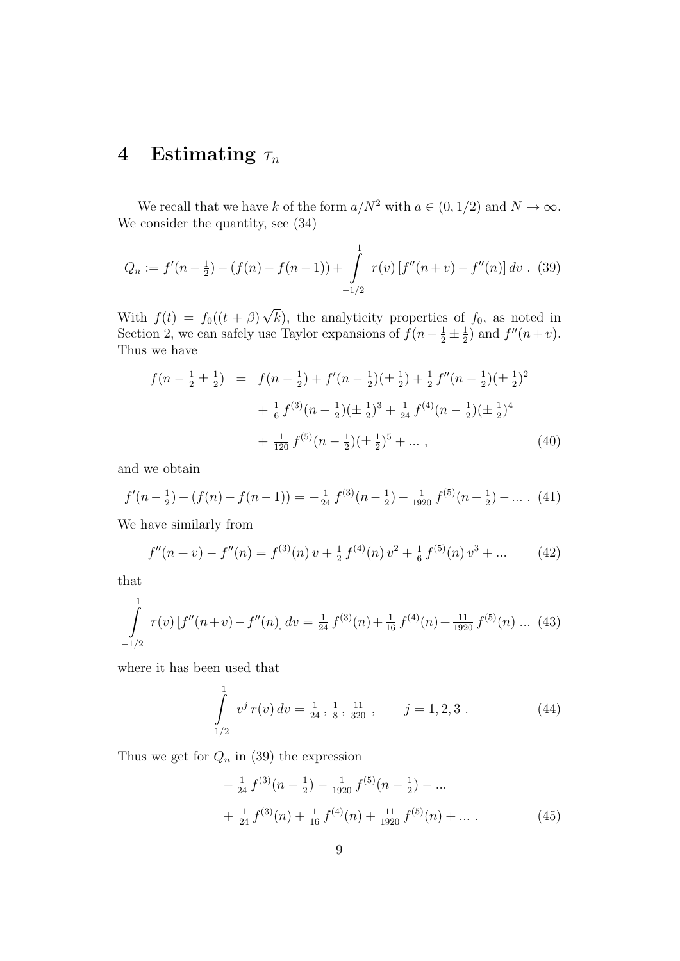## 4 Estimating  $\tau_n$

We recall that we have k of the form  $a/N^2$  with  $a \in (0, 1/2)$  and  $N \to \infty$ . We consider the quantity, see (34)

$$
Q_n := f'(n - \frac{1}{2}) - (f(n) - f(n - 1)) + \int_{-1/2}^{1} r(v) \left[ f''(n + v) - f''(n) \right] dv . (39)
$$

With  $f(t) = f_0((t + \beta))$ √  $(k)$ , the analyticity properties of  $f_0$ , as noted in Section 2, we can safely use Taylor expansions of  $f(n-\frac{1}{2}\pm\frac{1}{2})$  $(\frac{1}{2})$  and  $f''(n+v)$ . Thus we have

$$
f(n - \frac{1}{2} \pm \frac{1}{2}) = f(n - \frac{1}{2}) + f'(n - \frac{1}{2})(\pm \frac{1}{2}) + \frac{1}{2}f''(n - \frac{1}{2})(\pm \frac{1}{2})^2
$$
  
+ 
$$
\frac{1}{6}f^{(3)}(n - \frac{1}{2})(\pm \frac{1}{2})^3 + \frac{1}{24}f^{(4)}(n - \frac{1}{2})(\pm \frac{1}{2})^4
$$
  
+ 
$$
\frac{1}{120}f^{(5)}(n - \frac{1}{2})(\pm \frac{1}{2})^5 + \dots,
$$
 (40)

and we obtain

$$
f'(n-\frac{1}{2}) - (f(n) - f(n-1)) = -\frac{1}{24}f^{(3)}(n-\frac{1}{2}) - \frac{1}{1920}f^{(5)}(n-\frac{1}{2}) - \dots \tag{41}
$$

We have similarly from

$$
f''(n+v) - f''(n) = f^{(3)}(n)v + \frac{1}{2}f^{(4)}(n)v^2 + \frac{1}{6}f^{(5)}(n)v^3 + \dots
$$
 (42)

that

$$
\int_{-1/2}^{1} r(v) \left[ f''(n+v) - f''(n) \right] dv = \frac{1}{24} f^{(3)}(n) + \frac{1}{16} f^{(4)}(n) + \frac{11}{1920} f^{(5)}(n) \dots (43)
$$

where it has been used that

$$
\int_{-1/2}^{1} v^j r(v) dv = \frac{1}{24}, \frac{1}{8}, \frac{11}{320}, \qquad j = 1, 2, 3.
$$
 (44)

Thus we get for  $Q_n$  in (39) the expression

$$
-\frac{1}{24} f^{(3)}(n - \frac{1}{2}) - \frac{1}{1920} f^{(5)}(n - \frac{1}{2}) - \dots
$$
  
+ 
$$
\frac{1}{24} f^{(3)}(n) + \frac{1}{16} f^{(4)}(n) + \frac{11}{1920} f^{(5)}(n) + \dots
$$
 (45)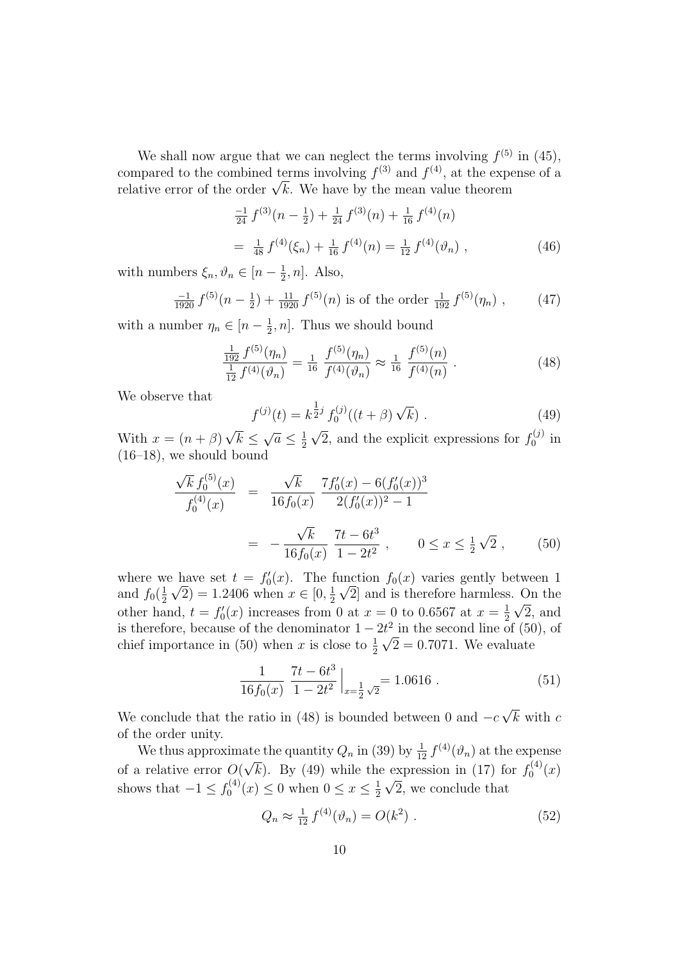We shall now argue that we can neglect the terms involving  $f^{(5)}$  in (45), compared to the combined terms involving  $f^{(3)}$  and  $f^{(4)}$ , at the expense of a compared to the combined terms involving  $f^{\diamond}$  and  $f^{\diamond}$ , at the experiently relative error of the order  $\sqrt{k}$ . We have by the mean value theorem

$$
\frac{-1}{24} f^{(3)}(n - \frac{1}{2}) + \frac{1}{24} f^{(3)}(n) + \frac{1}{16} f^{(4)}(n)
$$
  
= 
$$
\frac{1}{48} f^{(4)}(\xi_n) + \frac{1}{16} f^{(4)}(n) = \frac{1}{12} f^{(4)}(\vartheta_n) ,
$$
 (46)

with numbers  $\xi_n, \vartheta_n \in [n - \frac{1}{2}]$  $\frac{1}{2}$ , *n*]. Also,

$$
\frac{-1}{1920} f^{(5)}(n - \frac{1}{2}) + \frac{11}{1920} f^{(5)}(n) \text{ is of the order } \frac{1}{192} f^{(5)}(\eta_n) ,\qquad(47)
$$

with a number  $\eta_n \in [n - \frac{1}{2}]$  $\frac{1}{2}$ , *n*. Thus we should bound

$$
\frac{\frac{1}{192} f^{(5)}(\eta_n)}{\frac{1}{12} f^{(4)}(\vartheta_n)} = \frac{1}{16} \frac{f^{(5)}(\eta_n)}{f^{(4)}(\vartheta_n)} \approx \frac{1}{16} \frac{f^{(5)}(n)}{f^{(4)}(n)} . \tag{48}
$$

We observe that

$$
f^{(j)}(t) = k^{\frac{1}{2}j} f_0^{(j)}((t+\beta)\sqrt{k})
$$
\n(49)

With  $x = (n + \beta)$ √  $k \leq$  $\overline{a} \leq \frac{1}{2}$ 2  $\overline{2}$ , and the explicit expressions for  $f_0^{(j)}$  $\frac{C^{(J)}}{0}$  in  $(16–18)$ , we should bound

$$
\frac{\sqrt{k} f_0^{(5)}(x)}{f_0^{(4)}(x)} = \frac{\sqrt{k}}{16 f_0(x)} \frac{7 f_0'(x) - 6(f_0'(x))^3}{2(f_0'(x))^2 - 1}
$$

$$
= -\frac{\sqrt{k}}{16 f_0(x)} \frac{7t - 6t^3}{1 - 2t^2}, \qquad 0 \le x \le \frac{1}{2} \sqrt{2} , \qquad (50)
$$

where we have set  $t = f'_0(x)$ . The function  $f_0(x)$  varies gently between 1 and  $f_0(\frac{1}{2})$  $\frac{1}{2}\sqrt{2}$  = 1.2406 when  $x \in [0, \frac{1}{2}]$  $\frac{1}{2}$   $\sqrt{2}$  and is therefore harmless. On the other hand,  $t = f'_0(x)$  increases from 0 at  $x = 0$  to 0.6567 at  $x = \frac{1}{2}$  $\frac{1}{2} \sqrt{2}$ , and is therefore, because of the denominator  $1 - 2t^2$  in the second line of (50), of chief importance in (50) when x is close to  $\frac{1}{2}\sqrt{2} = 0.7071$ . We evaluate

$$
\frac{1}{16f_0(x)} \left. \frac{7t - 6t^3}{1 - 2t^2} \right|_{x = \frac{1}{2}\sqrt{2}} = 1.0616 . \tag{51}
$$

We conclude that the ratio in (48) is bounded between 0 and  $-c$ √  $k$  with  $c$ of the order unity.

We thus approximate the quantity  $Q_n$  in (39) by  $\frac{1}{12} f^{(4)}(\vartheta_n)$  at the expense of a relative error O( √  $\overline{k}$ ). By (49) while the expression in (17) for  $f_0^{(4)}$ expression in (17) for  $f_0^{(4)}(x)$ shows that  $-1 \leq f_0^{(4)}$  $x_0^{(4)}(x) \le 0$  when  $0 \le x \le \frac{1}{2}$  $\frac{1}{2} \sqrt{2}$ , we conclude that

$$
Q_n \approx \frac{1}{12} f^{(4)}(\vartheta_n) = O(k^2) . \tag{52}
$$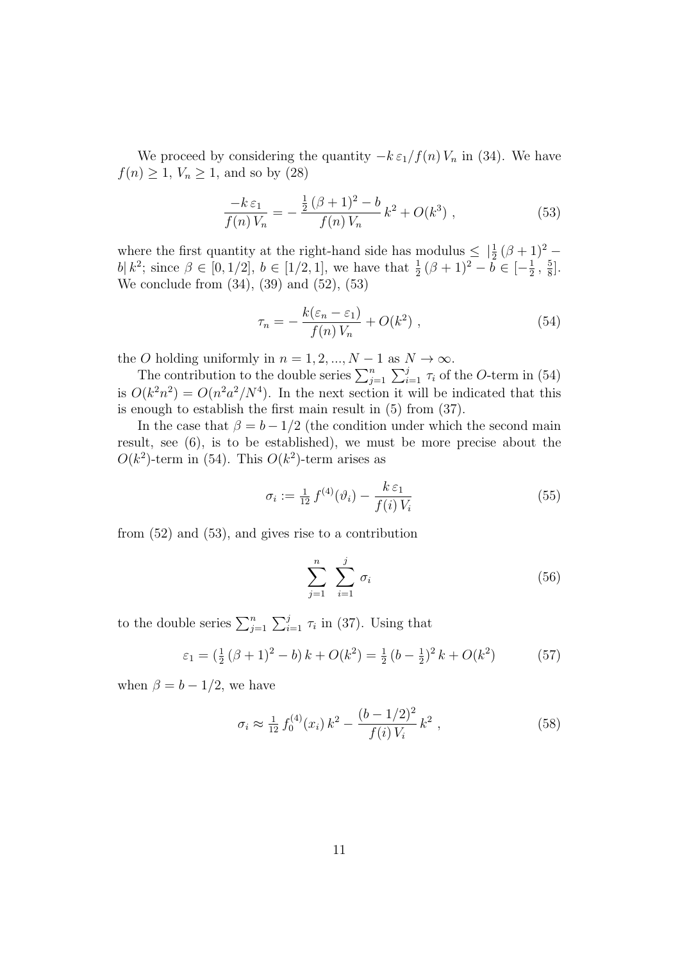We proceed by considering the quantity  $-k \epsilon_1/f(n) V_n$  in (34). We have  $f(n) \geq 1, V_n \geq 1$ , and so by (28)

$$
\frac{-k\,\varepsilon_1}{f(n)\,V_n} = -\frac{\frac{1}{2}\,(\beta+1)^2 - b}{f(n)\,V_n} \,k^2 + O(k^3) \;, \tag{53}
$$

where the first quantity at the right-hand side has modulus  $\leq \frac{1}{2}(\beta+1)^2$ b| k<sup>2</sup>; since  $\beta \in [0, 1/2], b \in [1/2, 1]$ , we have that  $\frac{1}{2}(\beta + 1)^2 - \overline{b} \in [-\frac{1}{2}]$  $\frac{1}{2}$ ,  $\frac{5}{8}$  $\frac{5}{8}$ . We conclude from (34), (39) and (52), (53)

$$
\tau_n = -\frac{k(\varepsilon_n - \varepsilon_1)}{f(n)V_n} + O(k^2) \tag{54}
$$

the O holding uniformly in  $n = 1, 2, ..., N - 1$  as  $N \to \infty$ .

The contribution to the double series  $\sum_{j=1}^{n} \sum_{i=1}^{j} \tau_i$  of the O-term in (54) is  $O(k^2n^2) = O(n^2a^2/N^4)$ . In the next section it will be indicated that this is enough to establish the first main result in (5) from (37).

In the case that  $\beta = b - 1/2$  (the condition under which the second main result, see (6), is to be established), we must be more precise about the  $O(k^2)$ -term in (54). This  $O(k^2)$ -term arises as

$$
\sigma_i := \frac{1}{12} f^{(4)}(\vartheta_i) - \frac{k \,\varepsilon_1}{f(i) \, V_i} \tag{55}
$$

from (52) and (53), and gives rise to a contribution

$$
\sum_{j=1}^{n} \sum_{i=1}^{j} \sigma_i \tag{56}
$$

to the double series  $\sum_{j=1}^{n} \sum_{i=1}^{j} \tau_i$  in (37). Using that

$$
\varepsilon_1 = \left(\frac{1}{2}\left(\beta + 1\right)^2 - b\right)k + O(k^2) = \frac{1}{2}\left(b - \frac{1}{2}\right)^2 k + O(k^2) \tag{57}
$$

when  $\beta = b - 1/2$ , we have

$$
\sigma_i \approx \frac{1}{12} f_0^{(4)}(x_i) k^2 - \frac{(b - 1/2)^2}{f(i) V_i} k^2 , \qquad (58)
$$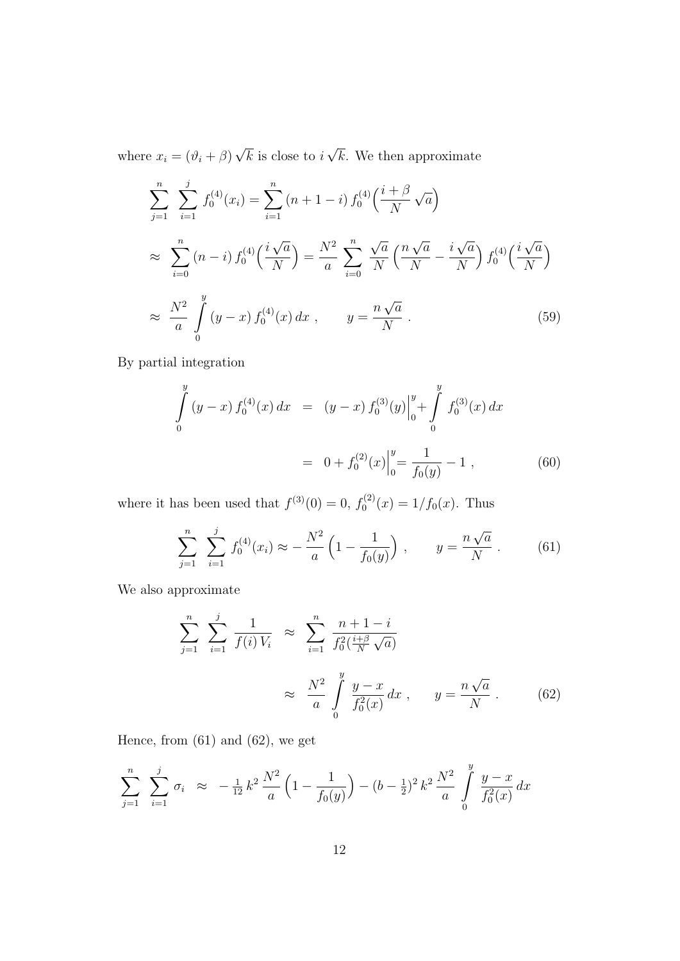where  $x_i = (\vartheta_i + \beta)$ √  $k$  is close to  $i$ √ k. We then approximate

$$
\sum_{j=1}^{n} \sum_{i=1}^{j} f_0^{(4)}(x_i) = \sum_{i=1}^{n} (n+1-i) f_0^{(4)}\left(\frac{i+\beta}{N}\sqrt{a}\right)
$$
  
\n
$$
\approx \sum_{i=0}^{n} (n-i) f_0^{(4)}\left(\frac{i\sqrt{a}}{N}\right) = \frac{N^2}{a} \sum_{i=0}^{n} \frac{\sqrt{a}}{N} \left(\frac{n\sqrt{a}}{N} - \frac{i\sqrt{a}}{N}\right) f_0^{(4)}\left(\frac{i\sqrt{a}}{N}\right)
$$
  
\n
$$
\approx \frac{N^2}{a} \int_{0}^{y} (y-x) f_0^{(4)}(x) dx , \qquad y = \frac{n\sqrt{a}}{N} . \tag{59}
$$

By partial integration

$$
\int_{0}^{y} (y-x) f_0^{(4)}(x) dx = (y-x) f_0^{(3)}(y) \Big|_{0}^{y} + \int_{0}^{y} f_0^{(3)}(x) dx
$$

$$
= 0 + f_0^{(2)}(x) \Big|_{0}^{y} = \frac{1}{f_0(y)} - 1 , \qquad (60)
$$

where it has been used that  $f^{(3)}(0) = 0, f_0^{(2)}$  $f_0^{(2)}(x) = 1/f_0(x)$ . Thus

$$
\sum_{j=1}^{n} \sum_{i=1}^{j} f_0^{(4)}(x_i) \approx -\frac{N^2}{a} \left( 1 - \frac{1}{f_0(y)} \right) , \qquad y = \frac{n\sqrt{a}}{N} . \tag{61}
$$

We also approximate

$$
\sum_{j=1}^{n} \sum_{i=1}^{j} \frac{1}{f(i)V_i} \approx \sum_{i=1}^{n} \frac{n+1-i}{f_0^2(\frac{i+\beta}{N}\sqrt{a})}
$$
  
 
$$
\approx \frac{N^2}{a} \int_{0}^{y} \frac{y-x}{f_0^2(x)} dx, \qquad y = \frac{n\sqrt{a}}{N}.
$$
 (62)

Hence, from  $(61)$  and  $(62)$ , we get

$$
\sum_{j=1}^{n} \sum_{i=1}^{j} \sigma_i \approx -\frac{1}{12} k^2 \frac{N^2}{a} \left( 1 - \frac{1}{f_0(y)} \right) - (b - \frac{1}{2})^2 k^2 \frac{N^2}{a} \int_{0}^{y} \frac{y - x}{f_0^2(x)} dx
$$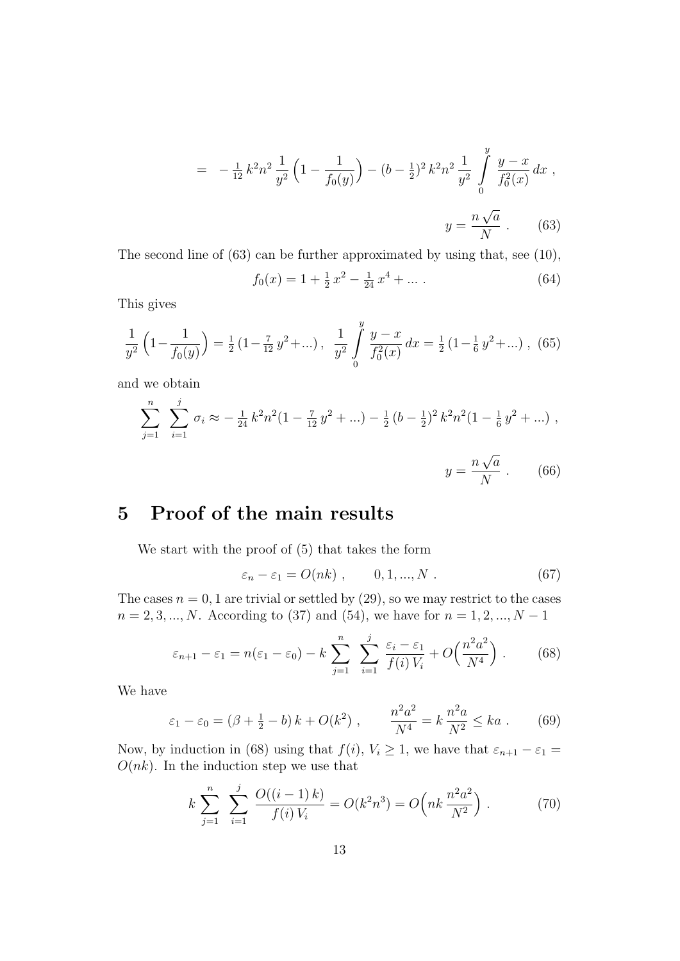$$
= -\frac{1}{12}k^2n^2\frac{1}{y^2}\left(1 - \frac{1}{f_0(y)}\right) - (b - \frac{1}{2})^2k^2n^2\frac{1}{y^2}\int_0^y\frac{y - x}{f_0^2(x)}dx,
$$
  

$$
y = \frac{n\sqrt{a}}{N}.
$$
 (63)

The second line of (63) can be further approximated by using that, see (10),

$$
f_0(x) = 1 + \frac{1}{2}x^2 - \frac{1}{24}x^4 + \dots
$$
 (64)

This gives

$$
\frac{1}{y^2} \left( 1 - \frac{1}{f_0(y)} \right) = \frac{1}{2} \left( 1 - \frac{7}{12} y^2 + \ldots \right), \quad \frac{1}{y^2} \int_0^y \frac{y - x}{f_0^2(x)} dx = \frac{1}{2} \left( 1 - \frac{1}{6} y^2 + \ldots \right), \tag{65}
$$

and we obtain

$$
\sum_{j=1}^{n} \sum_{i=1}^{j} \sigma_i \approx -\frac{1}{24} k^2 n^2 (1 - \frac{7}{12} y^2 + \ldots) - \frac{1}{2} (b - \frac{1}{2})^2 k^2 n^2 (1 - \frac{1}{6} y^2 + \ldots) ,
$$
  

$$
y = \frac{n \sqrt{a}}{N} .
$$
 (66)

## 5 Proof of the main results

We start with the proof of (5) that takes the form

$$
\varepsilon_n - \varepsilon_1 = O(nk) , \qquad 0, 1, ..., N . \qquad (67)
$$

The cases  $n = 0, 1$  are trivial or settled by  $(29)$ , so we may restrict to the cases  $n = 2, 3, ..., N$ . According to (37) and (54), we have for  $n = 1, 2, ..., N - 1$ 

$$
\varepsilon_{n+1} - \varepsilon_1 = n(\varepsilon_1 - \varepsilon_0) - k \sum_{j=1}^n \sum_{i=1}^j \frac{\varepsilon_i - \varepsilon_1}{f(i) V_i} + O\left(\frac{n^2 a^2}{N^4}\right). \tag{68}
$$

We have

$$
\varepsilon_1 - \varepsilon_0 = (\beta + \frac{1}{2} - b) k + O(k^2) , \qquad \frac{n^2 a^2}{N^4} = k \frac{n^2 a}{N^2} \le ka .
$$
 (69)

Now, by induction in (68) using that  $f(i)$ ,  $V_i \geq 1$ , we have that  $\varepsilon_{n+1} - \varepsilon_1 =$  $O(nk)$ . In the induction step we use that

$$
k \sum_{j=1}^{n} \sum_{i=1}^{j} \frac{O((i-1)k)}{f(i)V_i} = O(k^2 n^3) = O\left(nk \frac{n^2 a^2}{N^2}\right).
$$
 (70)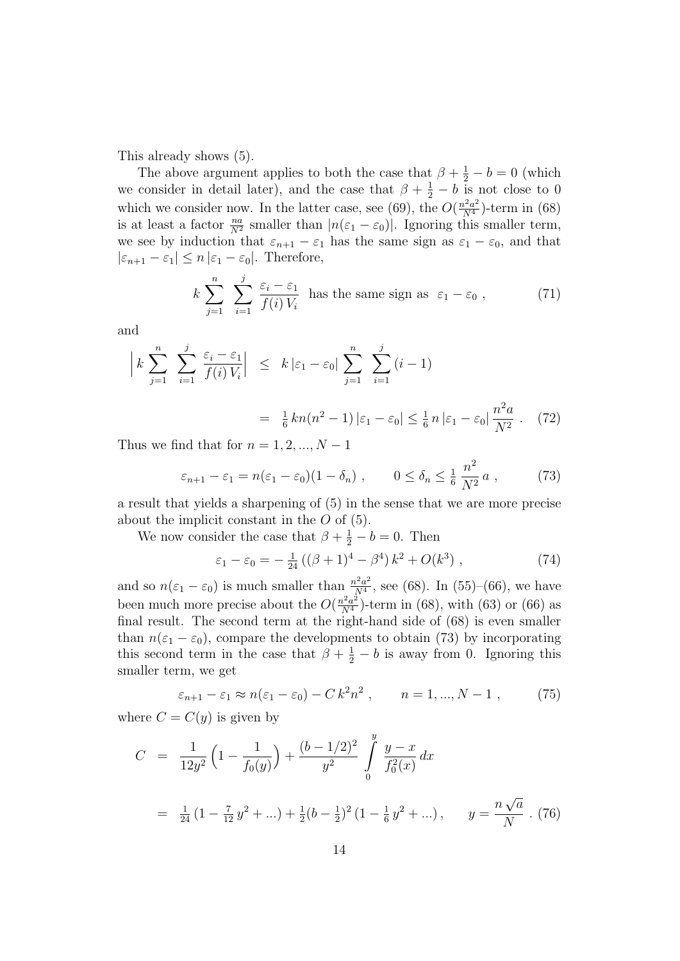This already shows (5).

The above argument applies to both the case that  $\beta + \frac{1}{2} - b = 0$  (which we consider in detail later), and the case that  $\beta + \frac{1}{2} - b$  is not close to 0 which we consider now. In the latter case, see (69), the  $O(\frac{n^2 a^2}{N^4})$ -term in (68) is at least a factor  $\frac{na}{N^2}$  smaller than  $|n(\varepsilon_1 - \varepsilon_0)|$ . Ignoring this smaller term, we see by induction that  $\varepsilon_{n+1} - \varepsilon_1$  has the same sign as  $\varepsilon_1 - \varepsilon_0$ , and that  $|\varepsilon_{n+1} - \varepsilon_1| \leq n |\varepsilon_1 - \varepsilon_0|$ . Therefore,

$$
k \sum_{j=1}^{n} \sum_{i=1}^{j} \frac{\varepsilon_i - \varepsilon_1}{f(i) V_i}
$$
 has the same sign as  $\varepsilon_1 - \varepsilon_0$ , (71)

and

$$
\left| k \sum_{j=1}^{n} \sum_{i=1}^{j} \frac{\varepsilon_{i} - \varepsilon_{1}}{f(i) V_{i}} \right| \leq k \left| \varepsilon_{1} - \varepsilon_{0} \right| \sum_{j=1}^{n} \sum_{i=1}^{j} (i-1)
$$

$$
= \frac{1}{6} k n (n^{2} - 1) \left| \varepsilon_{1} - \varepsilon_{0} \right| \leq \frac{1}{6} n \left| \varepsilon_{1} - \varepsilon_{0} \right| \frac{n^{2} a}{N^{2}}. \quad (72)
$$

Thus we find that for  $n = 1, 2, ..., N - 1$ 

$$
\varepsilon_{n+1} - \varepsilon_1 = n(\varepsilon_1 - \varepsilon_0)(1 - \delta_n) , \qquad 0 \le \delta_n \le \frac{1}{6} \frac{n^2}{N^2} a , \qquad (73)
$$

a result that yields a sharpening of (5) in the sense that we are more precise about the implicit constant in the O of (5).

We now consider the case that  $\beta + \frac{1}{2} - b = 0$ . Then

$$
\varepsilon_1 - \varepsilon_0 = -\frac{1}{24} \left( (\beta + 1)^4 - \beta^4 \right) k^2 + O(k^3) \tag{74}
$$

and so  $n(\varepsilon_1 - \varepsilon_0)$  is much smaller than  $\frac{n^2 a^2}{N^4}$  $\frac{\partial^2 a^2}{N^4}$ , see (68). In (55)–(66), we have been much more precise about the  $O(\frac{n^2 a^2}{N^4})$ -term in (68), with (63) or (66) as final result. The second term at the right-hand side of (68) is even smaller than  $n(\epsilon_1 - \epsilon_0)$ , compare the developments to obtain (73) by incorporating this second term in the case that  $\beta + \frac{1}{2} - b$  is away from 0. Ignoring this smaller term, we get

$$
\varepsilon_{n+1} - \varepsilon_1 \approx n(\varepsilon_1 - \varepsilon_0) - C k^2 n^2 \;, \qquad n = 1, ..., N - 1 \;, \tag{75}
$$

where  $C = C(y)$  is given by

$$
C = \frac{1}{12y^2} \left( 1 - \frac{1}{f_0(y)} \right) + \frac{(b - 1/2)^2}{y^2} \int_0^y \frac{y - x}{f_0^2(x)} dx
$$
  
=  $\frac{1}{24} \left( 1 - \frac{7}{12} y^2 + \ldots \right) + \frac{1}{2} (b - \frac{1}{2})^2 \left( 1 - \frac{1}{6} y^2 + \ldots \right), \qquad y = \frac{n \sqrt{a}}{N} \ . \tag{76}$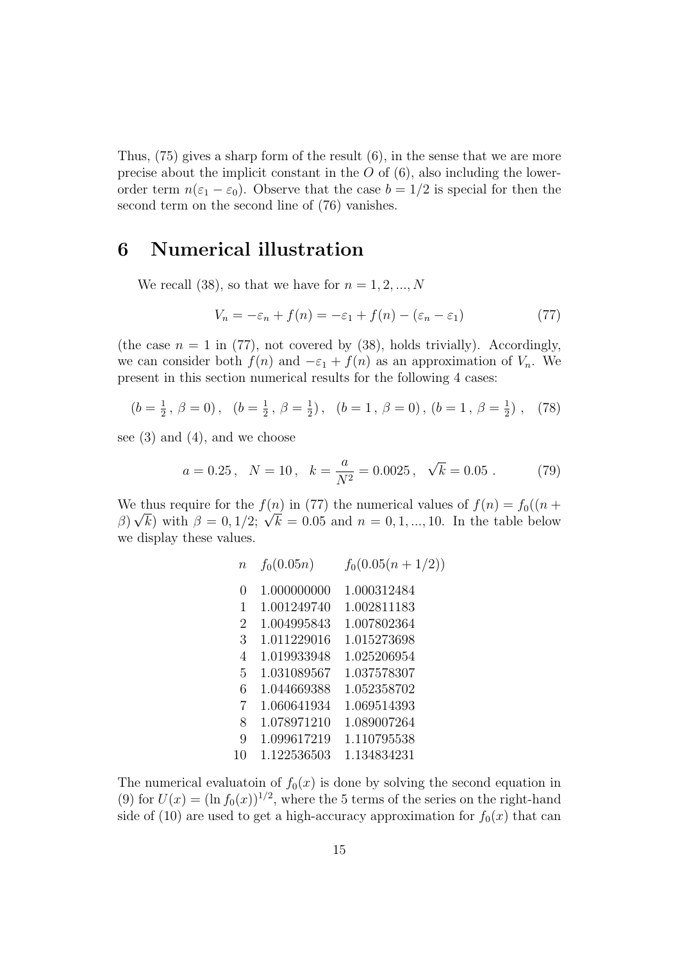Thus,  $(75)$  gives a sharp form of the result  $(6)$ , in the sense that we are more precise about the implicit constant in the  $O$  of  $(6)$ , also including the lowerorder term  $n(\varepsilon_1 - \varepsilon_0)$ . Observe that the case  $b = 1/2$  is special for then the second term on the second line of (76) vanishes.

## 6 Numerical illustration

We recall (38), so that we have for  $n = 1, 2, ..., N$ 

$$
V_n = -\varepsilon_n + f(n) = -\varepsilon_1 + f(n) - (\varepsilon_n - \varepsilon_1)
$$
\n(77)

(the case  $n = 1$  in (77), not covered by (38), holds trivially). Accordingly, we can consider both  $f(n)$  and  $-\varepsilon_1 + f(n)$  as an approximation of  $V_n$ . We present in this section numerical results for the following 4 cases:

$$
(b = \frac{1}{2}, \ \beta = 0), \quad (b = \frac{1}{2}, \ \beta = \frac{1}{2}), \quad (b = 1, \ \beta = 0), \ (b = 1, \ \beta = \frac{1}{2}) \ , \quad (78)
$$

see  $(3)$  and  $(4)$ , and we choose

$$
a = 0.25
$$
,  $N = 10$ ,  $k = \frac{a}{N^2} = 0.0025$ ,  $\sqrt{k} = 0.05$ . (79)

We thus require for the  $f(n)$  in (77) the numerical values of  $f(n) = f_0((n + \sqrt{n}))$ We thus require for the  $f(n)$  in ((() the numerical values of  $f(n) = f_0((n + \beta)\sqrt{k})$  with  $\beta = 0, 1/2$ ;  $\sqrt{k} = 0.05$  and  $n = 0, 1, ..., 10$ . In the table below we display these values.

$$
\begin{array}{cccc} n & f_0(0.05n) & f_0(0.05(n+1/2)) \\ 0 & 1.000000000 & 1.000312484 \\ 1 & 1.001249740 & 1.002811183 \\ 2 & 1.004995843 & 1.007802364 \\ 3 & 1.011229016 & 1.015273698 \\ 4 & 1.019933948 & 1.025206954 \\ 5 & 1.031089567 & 1.037578307 \\ 6 & 1.044669388 & 1.052358702 \\ 7 & 1.060641934 & 1.069514393 \\ 8 & 1.078971210 & 1.089007264 \\ 9 & 1.099617219 & 1.110795538 \\ 10 & 1.122536503 & 1.134834231 \end{array}
$$

The numerical evaluatoin of  $f_0(x)$  is done by solving the second equation in (9) for  $U(x) = (\ln f_0(x))^{1/2}$ , where the 5 terms of the series on the right-hand side of (10) are used to get a high-accuracy approximation for  $f_0(x)$  that can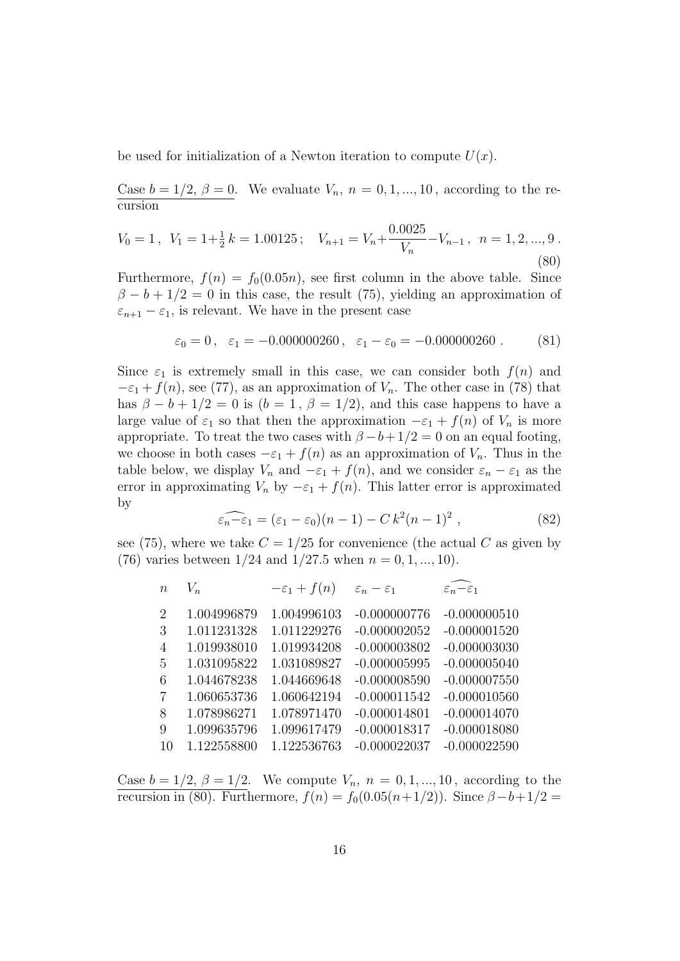be used for initialization of a Newton iteration to compute  $U(x)$ .

Case  $b = 1/2$ ,  $\beta = 0$ . We evaluate  $V_n$ ,  $n = 0, 1, ..., 10$ , according to the recursion

$$
V_0 = 1, \ \ V_1 = 1 + \frac{1}{2}k = 1.00125; \quad V_{n+1} = V_n + \frac{0.0025}{V_n} - V_{n-1}, \ \ n = 1, 2, ..., 9 \tag{80}
$$

Furthermore,  $f(n) = f_0(0.05n)$ , see first column in the above table. Since  $\beta - b + 1/2 = 0$  in this case, the result (75), yielding an approximation of  $\varepsilon_{n+1} - \varepsilon_1$ , is relevant. We have in the present case

$$
\varepsilon_0 = 0
$$
,  $\varepsilon_1 = -0.000000260$ ,  $\varepsilon_1 - \varepsilon_0 = -0.000000260$ . (81)

Since  $\varepsilon_1$  is extremely small in this case, we can consider both  $f(n)$  and  $-\varepsilon_1 + f(n)$ , see (77), as an approximation of  $V_n$ . The other case in (78) that has  $\beta - b + 1/2 = 0$  is  $(b = 1, \beta = 1/2)$ , and this case happens to have a large value of  $\varepsilon_1$  so that then the approximation  $-\varepsilon_1 + f(n)$  of  $V_n$  is more appropriate. To treat the two cases with  $\beta - b + 1/2 = 0$  on an equal footing, we choose in both cases  $-\varepsilon_1 + f(n)$  as an approximation of  $V_n$ . Thus in the table below, we display  $V_n$  and  $-\varepsilon_1 + f(n)$ , and we consider  $\varepsilon_n - \varepsilon_1$  as the error in approximating  $V_n$  by  $-\varepsilon_1 + f(n)$ . This latter error is approximated by

$$
\widehat{\varepsilon_n - \varepsilon_1} = (\varepsilon_1 - \varepsilon_0)(n - 1) - C k^2 (n - 1)^2 , \qquad (82)
$$

see (75), where we take  $C = 1/25$  for convenience (the actual C as given by (76) varies between  $1/24$  and  $1/27.5$  when  $n = 0, 1, ..., 10$ ).

| $\boldsymbol{n}$ | $V_n$       | $-\varepsilon_1 + f(n)$ | $\varepsilon_n - \varepsilon_1$ | $\varepsilon_n-\varepsilon_1$ |
|------------------|-------------|-------------------------|---------------------------------|-------------------------------|
| 2                | 1.004996879 | 1.004996103             | $-0.000000776$                  | $-0.000000510$                |
| 3                | 1.011231328 | 1.011229276             | $-0.000002052$                  | $-0.000001520$                |
| $\overline{4}$   | 1.019938010 | 1.019934208             | $-0.000003802$                  | $-0.000003030$                |
| 5                | 1.031095822 | 1.031089827             | $-0.000005995$                  | $-0.000005040$                |
| 6                | 1.044678238 | 1.044669648             | $-0.000008590$                  | $-0.000007550$                |
| 7                | 1.060653736 | 1.060642194             | $-0.000011542$                  | $-0.000010560$                |
| 8                | 1.078986271 | 1.078971470             | $-0.000014801$                  | $-0.000014070$                |
| 9                | 1.099635796 | 1.099617479             | $-0.000018317$                  | $-0.000018080$                |
| 10               | 1.122558800 | 1.122536763             | $-0.000022037$                  | $-0.000022590$                |
|                  |             |                         |                                 |                               |

Case  $b = 1/2, \beta = 1/2$ . We compute  $V_n$ ,  $n = 0, 1, ..., 10$ , according to the recursion in (80). Furthermore,  $f(n) = f_0(0.05(n+1/2))$ . Since  $\beta - b + 1/2 =$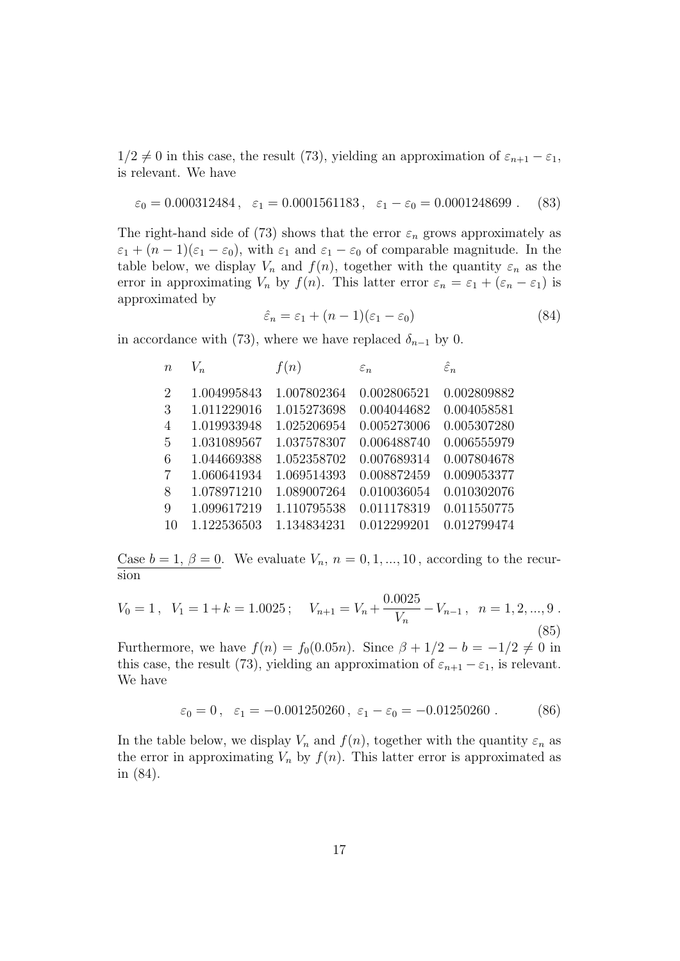$1/2 \neq 0$  in this case, the result (73), yielding an approximation of  $\varepsilon_{n+1} - \varepsilon_1$ , is relevant. We have

$$
\varepsilon_0 = 0.000312484
$$
,  $\varepsilon_1 = 0.0001561183$ ,  $\varepsilon_1 - \varepsilon_0 = 0.0001248699$ . (83)

The right-hand side of (73) shows that the error  $\varepsilon_n$  grows approximately as  $\varepsilon_1 + (n-1)(\varepsilon_1 - \varepsilon_0)$ , with  $\varepsilon_1$  and  $\varepsilon_1 - \varepsilon_0$  of comparable magnitude. In the table below, we display  $V_n$  and  $f(n)$ , together with the quantity  $\varepsilon_n$  as the error in approximating  $V_n$  by  $f(n)$ . This latter error  $\varepsilon_n = \varepsilon_1 + (\varepsilon_n - \varepsilon_1)$  is approximated by

$$
\hat{\varepsilon}_n = \varepsilon_1 + (n-1)(\varepsilon_1 - \varepsilon_0) \tag{84}
$$

in accordance with (73), where we have replaced  $\delta_{n-1}$  by 0.

| $\boldsymbol{n}$ | $V_n$       | f(n)        | $\varepsilon_n$ | $\hat{\varepsilon}_n$ |
|------------------|-------------|-------------|-----------------|-----------------------|
| 2                | 1.004995843 | 1.007802364 | 0.002806521     | 0.002809882           |
| 3                | 1.011229016 | 1.015273698 | 0.004044682     | 0.004058581           |
| $\overline{4}$   | 1.019933948 | 1.025206954 | 0.005273006     | 0.005307280           |
| -5               | 1.031089567 | 1.037578307 | 0.006488740     | 0.006555979           |
| -6               | 1.044669388 | 1.052358702 | 0.007689314     | 0.007804678           |
| -7               | 1.060641934 | 1.069514393 | 0.008872459     | 0.009053377           |
| 8                | 1.078971210 | 1.089007264 | 0.010036054     | 0.010302076           |
| -9               | 1.099617219 | 1.110795538 | 0.011178319     | 0.011550775           |
| 10               | 1.122536503 | 1.134834231 | 0.012299201     | 0.012799474           |
|                  |             |             |                 |                       |

Case  $b = 1, \beta = 0$ . We evaluate  $V_n$ ,  $n = 0, 1, ..., 10$ , according to the recursion

$$
V_0 = 1, \quad V_1 = 1 + k = 1.0025; \quad V_{n+1} = V_n + \frac{0.0025}{V_n} - V_{n-1}, \quad n = 1, 2, ..., 9
$$
\n
$$
(85)
$$

Furthermore, we have  $f(n) = f_0(0.05n)$ . Since  $\beta + 1/2 - b = -1/2 \neq 0$  in this case, the result (73), yielding an approximation of  $\varepsilon_{n+1} - \varepsilon_1$ , is relevant. We have

$$
\varepsilon_0 = 0
$$
,  $\varepsilon_1 = -0.001250260$ ,  $\varepsilon_1 - \varepsilon_0 = -0.01250260$ . (86)

In the table below, we display  $V_n$  and  $f(n)$ , together with the quantity  $\varepsilon_n$  as the error in approximating  $V_n$  by  $f(n)$ . This latter error is approximated as in (84).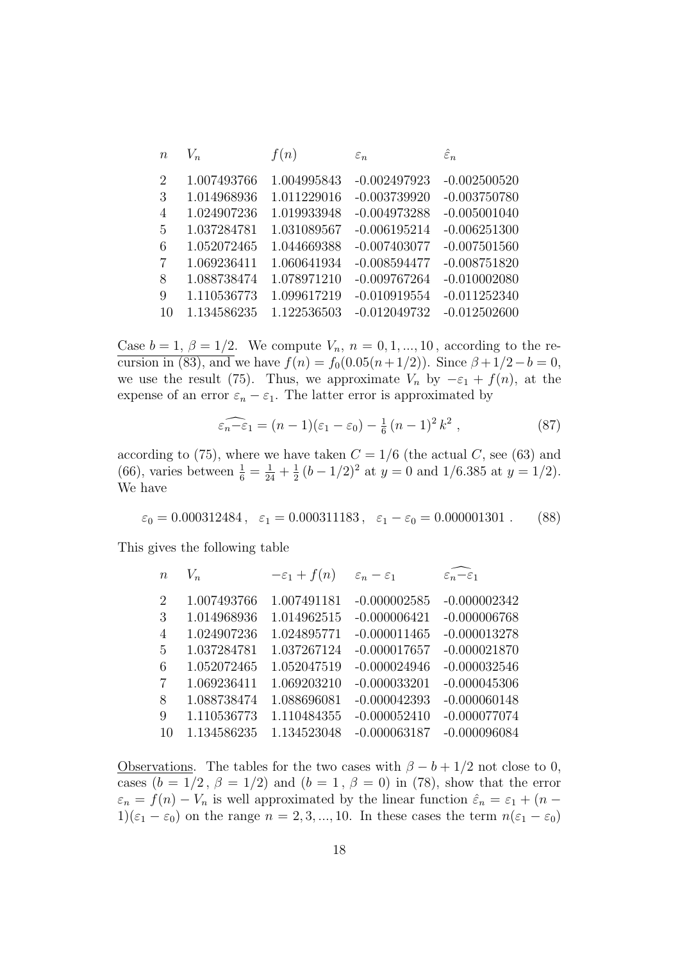| $\boldsymbol{n}$ | $V_n$       | f(n)        | $\varepsilon_n$ | $\hat{\varepsilon}_n$ |
|------------------|-------------|-------------|-----------------|-----------------------|
| $\overline{2}$   | 1.007493766 | 1.004995843 | $-0.002497923$  | $-0.002500520$        |
| 3                | 1.014968936 | 1.011229016 | $-0.003739920$  | $-0.003750780$        |
| $\overline{4}$   | 1.024907236 | 1.019933948 | $-0.004973288$  | $-0.005001040$        |
| 5                | 1.037284781 | 1.031089567 | $-0.006195214$  | $-0.006251300$        |
| 6                | 1.052072465 | 1.044669388 | $-0.007403077$  | $-0.007501560$        |
| 7                | 1.069236411 | 1.060641934 | $-0.008594477$  | $-0.008751820$        |
| 8                | 1.088738474 | 1.078971210 | $-0.009767264$  | $-0.010002080$        |
| 9                | 1.110536773 | 1.099617219 | $-0.010919554$  | $-0.011252340$        |
| 10               | 1.134586235 | 1.122536503 | $-0.012049732$  | $-0.012502600$        |

Case  $b = 1, \beta = 1/2$ . We compute  $V_n$ ,  $n = 0, 1, \dots, 10$ , according to the recursion in (83), and we have  $f(n) = f_0(0.05(n + 1/2))$ . Since  $\beta + 1/2 - b = 0$ , we use the result (75). Thus, we approximate  $V_n$  by  $-\varepsilon_1 + f(n)$ , at the expense of an error  $\varepsilon_n - \varepsilon_1$ . The latter error is approximated by

$$
\widehat{\varepsilon_n - \varepsilon_1} = (n - 1)(\varepsilon_1 - \varepsilon_0) - \frac{1}{6}(n - 1)^2 k^2 , \qquad (87)
$$

according to (75), where we have taken  $C = 1/6$  (the actual C, see (63) and (66), varies between  $\frac{1}{6} = \frac{1}{24} + \frac{1}{2}$  $\frac{1}{2}(b-1/2)^2$  at  $y=0$  and  $1/6.385$  at  $y=1/2$ ). We have

$$
\varepsilon_0 = 0.000312484
$$
,  $\varepsilon_1 = 0.000311183$ ,  $\varepsilon_1 - \varepsilon_0 = 0.000001301$ . (88)

This gives the following table

| $\boldsymbol{n}$ | $V_n$       | $-\varepsilon_1 + f(n)$ | $\varepsilon_n - \varepsilon_1$ | $\varepsilon_n-\varepsilon_1$ |
|------------------|-------------|-------------------------|---------------------------------|-------------------------------|
| 2                | 1.007493766 | 1.007491181             | $-0.000002585$                  | $-0.000002342$                |
| 3                | 1.014968936 | 1.014962515             | $-0.000006421$                  | $-0.000006768$                |
| $\overline{4}$   | 1.024907236 | 1.024895771             | $-0.000011465$                  | $-0.000013278$                |
| -5               | 1.037284781 | 1.037267124             | $-0.000017657$                  | $-0.000021870$                |
| 6                | 1.052072465 | 1.052047519             | $-0.000024946$                  | $-0.000032546$                |
| -7               | 1.069236411 | 1.069203210             | $-0.000033201$                  | $-0.000045306$                |
| 8                | 1.088738474 | 1.088696081             | $-0.000042393$                  | $-0.000060148$                |
| -9               | 1.110536773 | 1.110484355             | $-0.000052410$                  | $-0.000077074$                |
| 10               | 1.134586235 | 1.134523048             | $-0.000063187$                  | $-0.000096084$                |

Observations. The tables for the two cases with  $\beta - b + 1/2$  not close to 0, cases  $(b = 1/2, \beta = 1/2)$  and  $(b = 1, \beta = 0)$  in (78), show that the error  $\varepsilon_n = f(n) - V_n$  is well approximated by the linear function  $\hat{\varepsilon}_n = \varepsilon_1 + (n 1)(\epsilon_1 - \epsilon_0)$  on the range  $n = 2, 3, ..., 10$ . In these cases the term  $n(\epsilon_1 - \epsilon_0)$